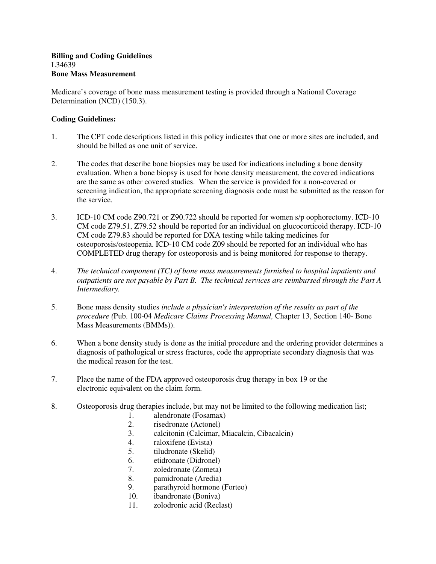## **Billing and Coding Guidelines**  L34639 **Bone Mass Measurement**

Medicare's coverage of bone mass measurement testing is provided through a National Coverage Determination (NCD) (150.3).

## **Coding Guidelines:**

- 1. The CPT code descriptions listed in this policy indicates that one or more sites are included, and should be billed as one unit of service.
- 2. The codes that describe bone biopsies may be used for indications including a bone density evaluation. When a bone biopsy is used for bone density measurement, the covered indications are the same as other covered studies. When the service is provided for a non-covered or screening indication, the appropriate screening diagnosis code must be submitted as the reason for the service.
- 3. ICD-10 CM code Z90.721 or Z90.722 should be reported for women s/p oophorectomy. ICD-10 CM code Z79.51, Z79.52 should be reported for an individual on glucocorticoid therapy. ICD-10 CM code Z79.83 should be reported for DXA testing while taking medicines for osteoporosis/osteopenia. ICD-10 CM code Z09 should be reported for an individual who has COMPLETED drug therapy for osteoporosis and is being monitored for response to therapy.
- 4. *The technical component (TC) of bone mass measurements furnished to hospital inpatients and outpatients are not payable by Part B. The technical services are reimbursed through the Part A Intermediary.*
- 5. Bone mass density studies *include a physician's interpretation of the results as part of the procedure (*Pub. 100-04 *Medicare Claims Processing Manual,* Chapter 13, Section 140- Bone Mass Measurements (BMMs)).
- 6. When a bone density study is done as the initial procedure and the ordering provider determines a diagnosis of pathological or stress fractures, code the appropriate secondary diagnosis that was the medical reason for the test.
- 7. Place the name of the FDA approved osteoporosis drug therapy in box 19 or the electronic equivalent on the claim form.
- 8. Osteoporosis drug therapies include, but may not be limited to the following medication list;
	- 1. alendronate (Fosamax)
	- 2. risedronate (Actonel)
	- 3. calcitonin (Calcimar, Miacalcin, Cibacalcin)
	- 4. raloxifene (Evista)
	- 5. tiludronate (Skelid)
	- 6. etidronate (Didronel)
	- 7. zoledronate (Zometa)
	- 8. pamidronate (Aredia)
	- 9. parathyroid hormone (Forteo)
	- 10. ibandronate (Boniva)
	- 11. zolodronic acid (Reclast)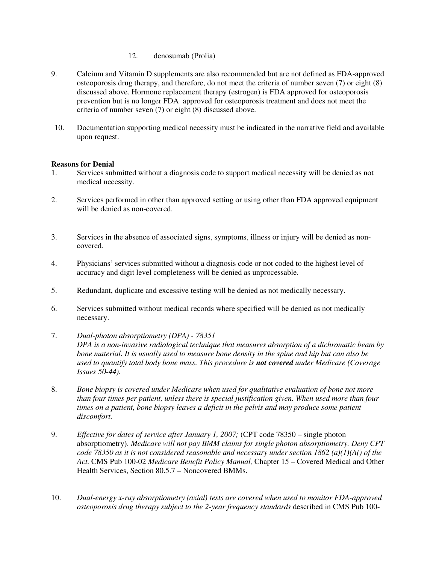- 12. denosumab (Prolia)
- 9. Calcium and Vitamin D supplements are also recommended but are not defined as FDA-approved osteoporosis drug therapy, and therefore, do not meet the criteria of number seven (7) or eight (8) discussed above. Hormone replacement therapy (estrogen) is FDA approved for osteoporosis prevention but is no longer FDA approved for osteoporosis treatment and does not meet the criteria of number seven (7) or eight (8) discussed above.
- 10. Documentation supporting medical necessity must be indicated in the narrative field and available upon request.

## **Reasons for Denial**

- 1. Services submitted without a diagnosis code to support medical necessity will be denied as not medical necessity.
- 2. Services performed in other than approved setting or using other than FDA approved equipment will be denied as non-covered.
- 3. Services in the absence of associated signs, symptoms, illness or injury will be denied as noncovered.
- 4. Physicians' services submitted without a diagnosis code or not coded to the highest level of accuracy and digit level completeness will be denied as unprocessable.
- 5. Redundant, duplicate and excessive testing will be denied as not medically necessary.
- 6. Services submitted without medical records where specified will be denied as not medically necessary.
- 7. *Dual-photon absorptiometry (DPA) 78351 DPA is a non-invasive radiological technique that measures absorption of a dichromatic beam by bone material. It is usually used to measure bone density in the spine and hip but can also be used to quantify total body bone mass. This procedure is not covered under Medicare (Coverage Issues 50-44).*
- 8. *Bone biopsy is covered under Medicare when used for qualitative evaluation of bone not more than four times per patient, unless there is special justification given. When used more than four times on a patient, bone biopsy leaves a deficit in the pelvis and may produce some patient discomfort.*
- 9. *Effective for dates of service after January 1, 2007;* (CPT code 78350 single photon absorptiometry). *Medicare will not pay BMM claims for single photon absorptiometry. Deny CPT code 78350 as it is not considered reasonable and necessary under section 1862 (a)(1)(A() of the Act.* CMS Pub 100-02 *Medicare Benefit Policy Manual,* Chapter 15 – Covered Medical and Other Health Services, Section 80.5.7 – Noncovered BMMs.
- 10. *Dual-energy x-ray absorptiometry (axial) tests are covered when used to monitor FDA-approved osteoporosis drug therapy subject to the 2-year frequency standards* described in CMS Pub 100-